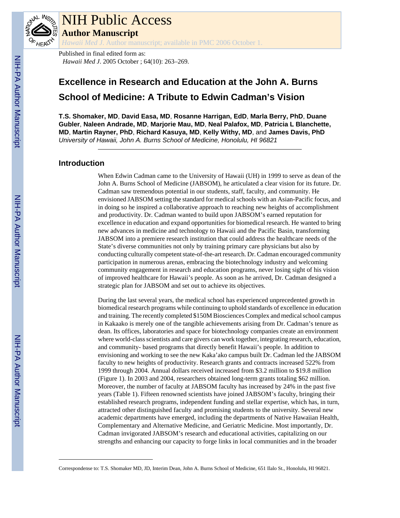

# NIH Public Access

**Author Manuscript**

*Hawaii Med J*. Author manuscript; available in PMC 2006 October 1.

Published in final edited form as: *Hawaii Med J*. 2005 October ; 64(10): 263–269.

# **Excellence in Research and Education at the John A. Burns School of Medicine: A Tribute to Edwin Cadman's Vision**

**T.S. Shomaker, MD**, **David Easa, MD**, **Rosanne Harrigan, EdD**, **Marla Berry, PhD**, **Duane Gubler**, **Naleen Andrade, MD**, **Marjorie Mau, MD**, **Neal Palafox, MD**, **Patricia L Blanchette, MD**, **Martin Rayner, PhD**, **Richard Kasuya, MD**, **Kelly Withy, MD**, and **James Davis, PhD** *University of Hawaii, John A. Burns School of Medicine, Honolulu, HI 96821*

## **Introduction**

When Edwin Cadman came to the University of Hawaii (UH) in 1999 to serve as dean of the John A. Burns School of Medicine (JABSOM), he articulated a clear vision for its future. Dr. Cadman saw tremendous potential in our students, staff, faculty, and community. He envisioned JABSOM setting the standard for medical schools with an Asian-Pacific focus, and in doing so he inspired a collaborative approach to reaching new heights of accomplishment and productivity. Dr. Cadman wanted to build upon JABSOM's earned reputation for excellence in education and expand opportunities for biomedical research. He wanted to bring new advances in medicine and technology to Hawaii and the Pacific Basin, transforming JABSOM into a premiere research institution that could address the healthcare needs of the State's diverse communities not only by training primary care physicians but also by conducting culturally competent state-of-the-art research. Dr. Cadman encouraged community participation in numerous arenas, embracing the biotechnology industry and welcoming community engagement in research and education programs, never losing sight of his vision of improved healthcare for Hawaii's people. As soon as he arrived, Dr. Cadman designed a strategic plan for JABSOM and set out to achieve its objectives.

During the last several years, the medical school has experienced unprecedented growth in biomedical research programs while continuing to uphold standards of excellence in education and training. The recently completed \$150M Biosciences Complex and medical school campus in Kakaako is merely one of the tangible achievements arising from Dr. Cadman's tenure as dean. Its offices, laboratories and space for biotechnology companies create an environment where world-class scientists and care givers can work together, integrating research, education, and community- based programs that directly benefit Hawaii's people. In addition to envisioning and working to see the new Kaka'ako campus built Dr. Cadman led the JABSOM faculty to new heights of productivity. Research grants and contracts increased 522% from 1999 through 2004. Annual dollars received increased from \$3.2 million to \$19.8 million (Figure 1). In 2003 and 2004, researchers obtained long-term grants totaling \$62 million. Moreover, the number of faculty at JABSOM faculty has increased by 24% in the past five years (Table 1). Fifteen renowned scientists have joined JABSOM's faculty, bringing their established research programs, independent funding and stellar expertise, which has, in turn, attracted other distinguished faculty and promising students to the university. Several new academic departments have emerged, including the departments of Native Hawaiian Health, Complementary and Alternative Medicine, and Geriatric Medicine. Most importantly, Dr. Cadman invigorated JABSOM's research and educational activities, capitalizing on our strengths and enhancing our capacity to forge links in local communities and in the broader

Correspondense to: T.S. Shomaker MD, JD, Interim Dean, John A. Burns School of Medicine, 651 Ilalo St., Honolulu, HI 96821.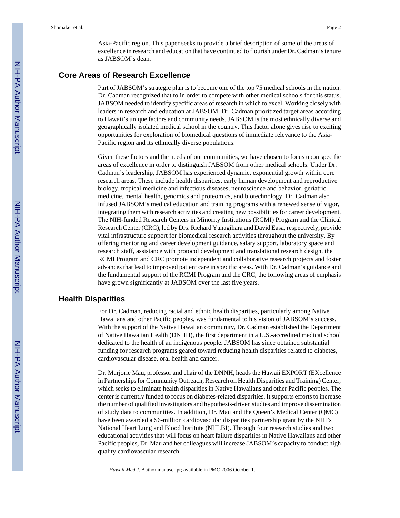Asia-Pacific region. This paper seeks to provide a brief description of some of the areas of excellence in research and education that have continued to flourish under Dr. Cadman's tenure as JABSOM's dean.

#### **Core Areas of Research Excellence**

Part of JABSOM's strategic plan is to become one of the top 75 medical schools in the nation. Dr. Cadman recognized that to in order to compete with other medical schools for this status, JABSOM needed to identify specific areas of research in which to excel. Working closely with leaders in research and education at JABSOM, Dr. Cadman prioritized target areas according to Hawaii's unique factors and community needs. JABSOM is the most ethnically diverse and geographically isolated medical school in the country. This factor alone gives rise to exciting opportunities for exploration of biomedical questions of immediate relevance to the Asia-Pacific region and its ethnically diverse populations.

Given these factors and the needs of our communities, we have chosen to focus upon specific areas of excellence in order to distinguish JABSOM from other medical schools. Under Dr. Cadman's leadership, JABSOM has experienced dynamic, exponential growth within core research areas. These include health disparities, early human development and reproductive biology, tropical medicine and infectious diseases, neuroscience and behavior, geriatric medicine, mental health, genomics and proteomics, and biotechnology. Dr. Cadman also infused JABSOM's medical education and training programs with a renewed sense of vigor, integrating them with research activities and creating new possibilities for career development. The NIH-funded Research Centers in Minority Institutions (RCMI) Program and the Clinical Research Center (CRC), led by Drs. Richard Yanagihara and David Easa, respectively, provide vital infrastructure support for biomedical research activities throughout the university. By offering mentoring and career development guidance, salary support, laboratory space and research staff, assistance with protocol development and translational research design, the RCMI Program and CRC promote independent and collaborative research projects and foster advances that lead to improved patient care in specific areas. With Dr. Cadman's guidance and the fundamental support of the RCMI Program and the CRC, the following areas of emphasis have grown significantly at JABSOM over the last five years.

#### **Health Disparities**

For Dr. Cadman, reducing racial and ethnic health disparities, particularly among Native Hawaiians and other Pacific peoples, was fundamental to his vision of JABSOM's success. With the support of the Native Hawaiian community, Dr. Cadman established the Department of Native Hawaiian Health (DNHH), the first department in a U.S.-accredited medical school dedicated to the health of an indigenous people. JABSOM has since obtained substantial funding for research programs geared toward reducing health disparities related to diabetes, cardiovascular disease, oral health and cancer.

Dr. Marjorie Mau, professor and chair of the DNNH, heads the Hawaii EXPORT (EXcellence in Partnerships for Community Outreach, Research on Health Disparities and Training) Center, which seeks to eliminate health disparities in Native Hawaiians and other Pacific peoples. The center is currently funded to focus on diabetes-related disparities. It supports efforts to increase the number of qualified investigators and hypothesis-driven studies and improve dissemination of study data to communities. In addition, Dr. Mau and the Queen's Medical Center (QMC) have been awarded a \$6-million cardiovascular disparities partnership grant by the NIH's National Heart Lung and Blood Institute (NHLBI). Through four research studies and two educational activities that will focus on heart failure disparities in Native Hawaiians and other Pacific peoples, Dr. Mau and her colleagues will increase JABSOM's capacity to conduct high quality cardiovascular research.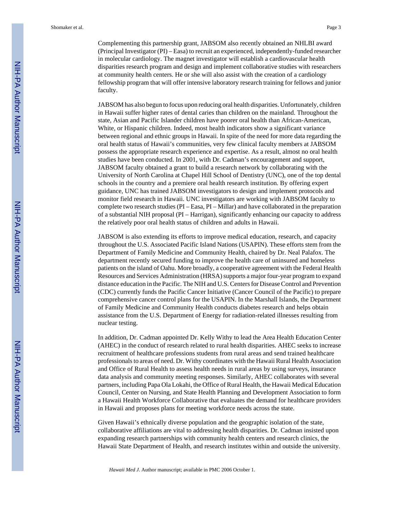Shomaker et al. Page 3

Complementing this partnership grant, JABSOM also recently obtained an NHLBI award (Principal Investigator (PI) – Easa) to recruit an experienced, independently-funded researcher in molecular cardiology. The magnet investigator will establish a cardiovascular health disparities research program and design and implement collaborative studies with researchers at community health centers. He or she will also assist with the creation of a cardiology fellowship program that will offer intensive laboratory research training for fellows and junior faculty.

JABSOM has also begun to focus upon reducing oral health disparities. Unfortunately, children in Hawaii suffer higher rates of dental caries than children on the mainland. Throughout the state, Asian and Pacific Islander children have poorer oral health than African-American, White, or Hispanic children. Indeed, most health indicators show a significant variance between regional and ethnic groups in Hawaii. In spite of the need for more data regarding the oral health status of Hawaii's communities, very few clinical faculty members at JABSOM possess the appropriate research experience and expertise. As a result, almost no oral health studies have been conducted. In 2001, with Dr. Cadman's encouragement and support, JABSOM faculty obtained a grant to build a research network by collaborating with the University of North Carolina at Chapel Hill School of Dentistry (UNC), one of the top dental schools in the country and a premiere oral health research institution. By offering expert guidance, UNC has trained JABSOM investigators to design and implement protocols and monitor field research in Hawaii. UNC investigators are working with JABSOM faculty to complete two research studies (PI – Easa, PI – Millar) and have collaborated in the preparation of a substantial NIH proposal (PI – Harrigan), significantly enhancing our capacity to address the relatively poor oral health status of children and adults in Hawaii.

JABSOM is also extending its efforts to improve medical education, research, and capacity throughout the U.S. Associated Pacific Island Nations (USAPIN). These efforts stem from the Department of Family Medicine and Community Health, chaired by Dr. Neal Palafox. The department recently secured funding to improve the health care of uninsured and homeless patients on the island of Oahu. More broadly, a cooperative agreement with the Federal Health Resources and Services Administration (HRSA) supports a major four-year program to expand distance education in the Pacific. The NIH and U.S. Centers for Disease Control and Prevention (CDC) currently funds the Pacific Cancer Initiative (Cancer Council of the Pacific) to prepare comprehensive cancer control plans for the USAPIN. In the Marshall Islands, the Department of Family Medicine and Community Health conducts diabetes research and helps obtain assistance from the U.S. Department of Energy for radiation-related illnesses resulting from nuclear testing.

In addition, Dr. Cadman appointed Dr. Kelly Withy to lead the Area Health Education Center (AHEC) in the conduct of research related to rural health disparities. AHEC seeks to increase recruitment of healthcare professions students from rural areas and send trained healthcare professionals to areas of need. Dr. Withy coordinates with the Hawaii Rural Health Association and Office of Rural Health to assess health needs in rural areas by using surveys, insurance data analysis and community meeting responses. Similarly, AHEC collaborates with several partners, including Papa Ola Lokahi, the Office of Rural Health, the Hawaii Medical Education Council, Center on Nursing, and State Health Planning and Development Association to form a Hawaii Health Workforce Collaborative that evaluates the demand for healthcare providers in Hawaii and proposes plans for meeting workforce needs across the state.

Given Hawaii's ethnically diverse population and the geographic isolation of the state, collaborative affiliations are vital to addressing health disparities. Dr. Cadman insisted upon expanding research partnerships with community health centers and research clinics, the Hawaii State Department of Health, and research institutes within and outside the university.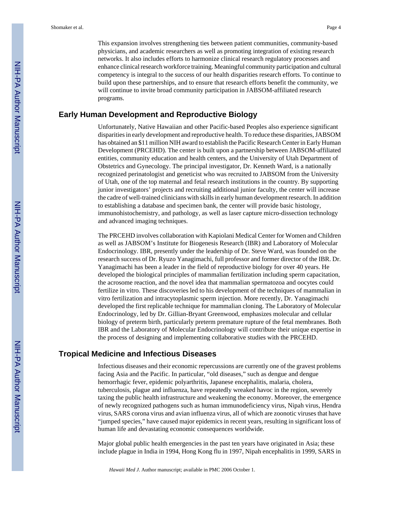This expansion involves strengthening ties between patient communities, community-based physicians, and academic researchers as well as promoting integration of existing research networks. It also includes efforts to harmonize clinical research regulatory processes and enhance clinical research workforce training. Meaningful community participation and cultural competency is integral to the success of our health disparities research efforts. To continue to build upon these partnerships, and to ensure that research efforts benefit the community, we will continue to invite broad community participation in JABSOM-affiliated research programs.

#### **Early Human Development and Reproductive Biology**

Unfortunately, Native Hawaiian and other Pacific-based Peoples also experience significant disparities in early development and reproductive health. To reduce these disparities, JABSOM has obtained an \$11 million NIH award to establish the Pacific Research Center in Early Human Development (PRCEHD). The center is built upon a partnership between JABSOM-affiliated entities, community education and health centers, and the University of Utah Department of Obstetrics and Gynecology. The principal investigator, Dr. Kenneth Ward, is a nationally recognized perinatologist and geneticist who was recruited to JABSOM from the University of Utah, one of the top maternal and fetal research institutions in the country. By supporting junior investigators' projects and recruiting additional junior faculty, the center will increase the cadre of well-trained clinicians with skills in early human development research. In addition to establishing a database and specimen bank, the center will provide basic histology, immunohistochemistry, and pathology, as well as laser capture micro-dissection technology and advanced imaging techniques.

The PRCEHD involves collaboration with Kapiolani Medical Center for Women and Children as well as JABSOM's Institute for Biogenesis Research (IBR) and Laboratory of Molecular Endocrinology. IBR, presently under the leadership of Dr. Steve Ward, was founded on the research success of Dr. Ryuzo Yanagimachi, full professor and former director of the IBR. Dr. Yanagimachi has been a leader in the field of reproductive biology for over 40 years. He developed the biological principles of mammalian fertilization including sperm capacitation, the acrosome reaction, and the novel idea that mammalian spermatozoa and oocytes could fertilize in vitro. These discoveries led to his development of the techniques of mammalian in vitro fertilization and intracytoplasmic sperm injection. More recently, Dr. Yanagimachi developed the first replicable technique for mammalian cloning. The Laboratory of Molecular Endocrinology, led by Dr. Gillian-Bryant Greenwood, emphasizes molecular and cellular biology of preterm birth, particularly preterm premature rupture of the fetal membranes. Both IBR and the Laboratory of Molecular Endocrinology will contribute their unique expertise in the process of designing and implementing collaborative studies with the PRCEHD.

#### **Tropical Medicine and Infectious Diseases**

Infectious diseases and their economic repercussions are currently one of the gravest problems facing Asia and the Pacific. In particular, "old diseases," such as dengue and dengue hemorrhagic fever, epidemic polyarthritis, Japanese encephalitis, malaria, cholera, tuberculosis, plague and influenza, have repeatedly wreaked havoc in the region, severely taxing the public health infrastructure and weakening the economy. Moreover, the emergence of newly recognized pathogens such as human immunodeficiency virus, Nipah virus, Hendra virus, SARS corona virus and avian influenza virus, all of which are zoonotic viruses that have "jumped species," have caused major epidemics in recent years, resulting in significant loss of human life and devastating economic consequences worldwide.

Major global public health emergencies in the past ten years have originated in Asia; these include plague in India in 1994, Hong Kong flu in 1997, Nipah encephalitis in 1999, SARS in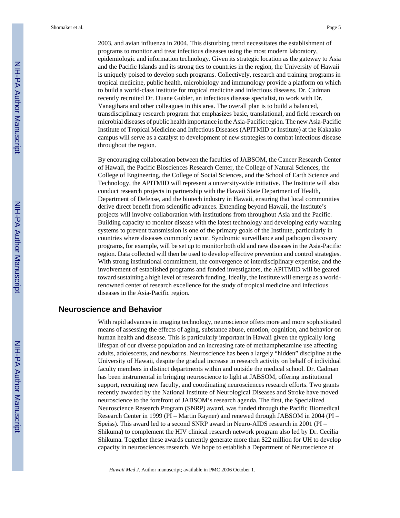2003, and avian influenza in 2004. This disturbing trend necessitates the establishment of programs to monitor and treat infectious diseases using the most modern laboratory, epidemiologic and information technology. Given its strategic location as the gateway to Asia and the Pacific Islands and its strong ties to countries in the region, the University of Hawaii is uniquely poised to develop such programs. Collectively, research and training programs in tropical medicine, public health, microbiology and immunology provide a platform on which to build a world-class institute for tropical medicine and infectious diseases. Dr. Cadman recently recruited Dr. Duane Gubler, an infectious disease specialist, to work with Dr. Yanagihara and other colleagues in this area. The overall plan is to build a balanced, transdisciplinary research program that emphasizes basic, translational, and field research on microbial diseases of public health importance in the Asia-Pacific region. The new Asia-Pacific Institute of Tropical Medicine and Infectious Diseases (APITMID or Institute) at the Kakaako campus will serve as a catalyst to development of new strategies to combat infectious disease throughout the region.

By encouraging collaboration between the faculties of JABSOM, the Cancer Research Center of Hawaii, the Pacific Biosciences Research Center, the College of Natural Sciences, the College of Engineering, the College of Social Sciences, and the School of Earth Science and Technology, the APITMID will represent a university-wide initiative. The Institute will also conduct research projects in partnership with the Hawaii State Department of Health, Department of Defense, and the biotech industry in Hawaii, ensuring that local communities derive direct benefit from scientific advances. Extending beyond Hawaii, the Institute's projects will involve collaboration with institutions from throughout Asia and the Pacific. Building capacity to monitor disease with the latest technology and developing early warning systems to prevent transmission is one of the primary goals of the Institute, particularly in countries where diseases commonly occur. Syndromic surveillance and pathogen discovery programs, for example, will be set up to monitor both old and new diseases in the Asia-Pacific region. Data collected will then be used to develop effective prevention and control strategies. With strong institutional commitment, the convergence of interdisciplinary expertise, and the involvement of established programs and funded investigators, the APITMID will be geared toward sustaining a high level of research funding. Ideally, the Institute will emerge as a worldrenowned center of research excellence for the study of tropical medicine and infectious diseases in the Asia-Pacific region.

### **Neuroscience and Behavior**

With rapid advances in imaging technology, neuroscience offers more and more sophisticated means of assessing the effects of aging, substance abuse, emotion, cognition, and behavior on human health and disease. This is particularly important in Hawaii given the typically long lifespan of our diverse population and an increasing rate of methamphetamine use affecting adults, adolescents, and newborns. Neuroscience has been a largely "hidden" discipline at the University of Hawaii, despite the gradual increase in research activity on behalf of individual faculty members in distinct departments within and outside the medical school. Dr. Cadman has been instrumental in bringing neuroscience to light at JABSOM, offering institutional support, recruiting new faculty, and coordinating neurosciences research efforts. Two grants recently awarded by the National Institute of Neurological Diseases and Stroke have moved neuroscience to the forefront of JABSOM's research agenda. The first, the Specialized Neuroscience Research Program (SNRP) award, was funded through the Pacific Biomedical Research Center in 1999 (PI – Martin Rayner) and renewed through JABSOM in 2004 (PI – Speiss). This award led to a second SNRP award in Neuro-AIDS research in 2001 (PI – Shikuma) to complement the HIV clinical research network program also led by Dr. Cecilia Shikuma. Together these awards currently generate more than \$22 million for UH to develop capacity in neurosciences research. We hope to establish a Department of Neuroscience at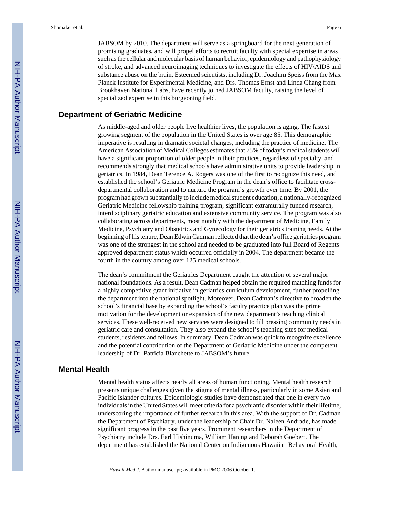JABSOM by 2010. The department will serve as a springboard for the next generation of promising graduates, and will propel efforts to recruit faculty with special expertise in areas such as the cellular and molecular basis of human behavior, epidemiology and pathophysiology of stroke, and advanced neuroimaging techniques to investigate the effects of HIV/AIDS and substance abuse on the brain. Esteemed scientists, including Dr. Joachim Speiss from the Max Planck Institute for Experimental Medicine, and Drs. Thomas Ernst and Linda Chang from Brookhaven National Labs, have recently joined JABSOM faculty, raising the level of specialized expertise in this burgeoning field.

#### **Department of Geriatric Medicine**

As middle-aged and older people live healthier lives, the population is aging. The fastest growing segment of the population in the United States is over age 85. This demographic imperative is resulting in dramatic societal changes, including the practice of medicine. The American Association of Medical Colleges estimates that 75% of today's medical students will have a significant proportion of older people in their practices, regardless of specialty, and recommends strongly that medical schools have administrative units to provide leadership in geriatrics. In 1984, Dean Terence A. Rogers was one of the first to recognize this need, and established the school's Geriatric Medicine Program in the dean's office to facilitate crossdepartmental collaboration and to nurture the program's growth over time. By 2001, the program had grown substantially to include medical student education, a nationally-recognized Geriatric Medicine fellowship training program, significant extramurally funded research, interdisciplinary geriatric education and extensive community service. The program was also collaborating across departments, most notably with the department of Medicine, Family Medicine, Psychiatry and Obstetrics and Gynecology for their geriatrics training needs. At the beginning of his tenure, Dean Edwin Cadman reflected that the dean's office geriatrics program was one of the strongest in the school and needed to be graduated into full Board of Regents approved department status which occurred officially in 2004. The department became the fourth in the country among over 125 medical schools.

The dean's commitment the Geriatrics Department caught the attention of several major national foundations. As a result, Dean Cadman helped obtain the required matching funds for a highly competitive grant initiative in geriatrics curriculum development, further propelling the department into the national spotlight. Moreover, Dean Cadman's directive to broaden the school's financial base by expanding the school's faculty practice plan was the prime motivation for the development or expansion of the new department's teaching clinical services. These well-received new services were designed to fill pressing community needs in geriatric care and consultation. They also expand the school's teaching sites for medical students, residents and fellows. In summary, Dean Cadman was quick to recognize excellence and the potential contribution of the Department of Geriatric Medicine under the competent leadership of Dr. Patricia Blanchette to JABSOM's future.

#### **Mental Health**

Mental health status affects nearly all areas of human functioning. Mental health research presents unique challenges given the stigma of mental illness, particularly in some Asian and Pacific Islander cultures. Epidemiologic studies have demonstrated that one in every two individuals in the United States will meet criteria for a psychiatric disorder within their lifetime, underscoring the importance of further research in this area. With the support of Dr. Cadman the Department of Psychiatry, under the leadership of Chair Dr. Naleen Andrade, has made significant progress in the past five years. Prominent researchers in the Department of Psychiatry include Drs. Earl Hishinuma, William Haning and Deborah Goebert. The department has established the National Center on Indigenous Hawaiian Behavioral Health,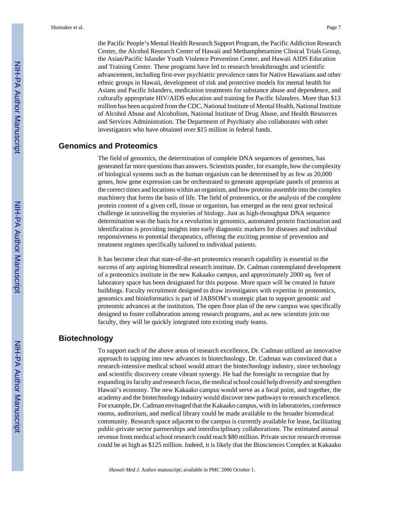the Pacific People's Mental Health Research Support Program, the Pacific Addiction Research Center, the Alcohol Research Center of Hawaii and Methamphetamine Clinical Trials Group, the Asian/Pacific Islander Youth Violence Prevention Center, and Hawaii AIDS Education and Training Center. These programs have led to research breakthroughs and scientific advancement, including first-ever psychiatric prevalence rates for Native Hawaiians and other ethnic groups in Hawaii, development of risk and protective models for mental health for Asians and Pacific Islanders, medication treatments for substance abuse and dependence, and culturally appropriate HIV/AIDS education and training for Pacific Islanders. More than \$13 million has been acquired from the CDC, National Institute of Mental Health, National Institute of Alcohol Abuse and Alcoholism, National Institute of Drug Abuse, and Health Resources and Services Administration. The Department of Psychiatry also collaborates with other investigators who have obtained over \$15 million in federal funds.

#### **Genomics and Proteomics**

The field of genomics, the determination of complete DNA sequences of genomes, has generated far more questions than answers. Scientists ponder, for example, how the complexity of biological systems such as the human organism can be determined by as few as 20,000 genes, how gene expression can be orchestrated to generate appropriate panels of proteins at the correct times and locations within an organism, and how proteins assemble into the complex machinery that forms the basis of life. The field of proteomics, or the analysis of the complete protein content of a given cell, tissue or organism, has emerged as the next great technical challenge in unraveling the mysteries of biology. Just as high-throughput DNA sequence determination was the basis for a revolution in genomics, automated protein fractionation and identification is providing insights into early diagnostic markers for diseases and individual responsiveness to potential therapeutics, offering the exciting promise of prevention and treatment regimes specifically tailored to individual patients.

It has become clear that state-of-the-art proteomics research capability is essential to the success of any aspiring biomedical research institute. Dr. Cadman contemplated development of a proteomics institute in the new Kakaako campus, and approximately 2000 sq. feet of laboratory space has been designated for this purpose. More space will be created in future buildings. Faculty recruitment designed to draw investigators with expertise in proteomics, genomics and bioinformatics is part of JABSOM's strategic plan to support genomic and proteomic advances at the institution. The open floor plan of the new campus was specifically designed to foster collaboration among research programs, and as new scientists join our faculty, they will be quickly integrated into existing study teams.

## **Biotechnology**

To support each of the above areas of research excellence, Dr. Cadman utilized an innovative approach to tapping into new advances in biotechnology. Dr. Cadman was convinced that a research-intensive medical school would attract the biotechnology industry, since technology and scientific discovery create vibrant synergy. He had the foresight to recognize that by expanding its faculty and research focus, the medical school could help diversify and strengthen Hawaii's economy. The new Kakaako campus would serve as a focal point, and together, the academy and the biotechnology industry would discover new pathways to research excellence. For example, Dr. Cadman envisaged that the Kakaako campus, with its laboratories, conference rooms, auditorium, and medical library could be made available to the broader biomedical community. Research space adjacent to the campus is currently available for lease, facilitating public-private sector partnerships and interdisciplinary collaborations. The estimated annual revenue from medical school research could reach \$80 million. Private sector research revenue could be as high as \$125 million. Indeed, it is likely that the Biosciences Complex at Kakaako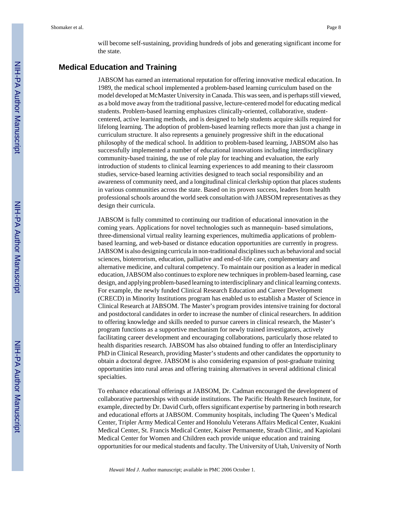will become self-sustaining, providing hundreds of jobs and generating significant income for the state.

### **Medical Education and Training**

JABSOM has earned an international reputation for offering innovative medical education. In 1989, the medical school implemented a problem-based learning curriculum based on the model developed at McMaster University in Canada. This was seen, and is perhaps still viewed, as a bold move away from the traditional passive, lecture-centered model for educating medical students. Problem-based learning emphasizes clinically-oriented, collaborative, studentcentered, active learning methods, and is designed to help students acquire skills required for lifelong learning. The adoption of problem-based learning reflects more than just a change in curriculum structure. It also represents a genuinely progressive shift in the educational philosophy of the medical school. In addition to problem-based learning, JABSOM also has successfully implemented a number of educational innovations including interdisciplinary community-based training, the use of role play for teaching and evaluation, the early introduction of students to clinical learning experiences to add meaning to their classroom studies, service-based learning activities designed to teach social responsibility and an awareness of community need, and a longitudinal clinical clerkship option that places students in various communities across the state. Based on its proven success, leaders from health professional schools around the world seek consultation with JABSOM representatives as they design their curricula.

JABSOM is fully committed to continuing our tradition of educational innovation in the coming years. Applications for novel technologies such as mannequin- based simulations, three-dimensional virtual reality learning experiences, multimedia applications of problembased learning, and web-based or distance education opportunities are currently in progress. JABSOM is also designing curricula in non-traditional disciplines such as behavioral and social sciences, bioterrorism, education, palliative and end-of-life care, complementary and alternative medicine, and cultural competency. To maintain our position as a leader in medical education, JABSOM also continues to explore new techniques in problem-based learning, case design, and applying problem-based learning to interdisciplinary and clinical learning contexts. For example, the newly funded Clinical Research Education and Career Development (CRECD) in Minority Institutions program has enabled us to establish a Master of Science in Clinical Research at JABSOM. The Master's program provides intensive training for doctoral and postdoctoral candidates in order to increase the number of clinical researchers. In addition to offering knowledge and skills needed to pursue careers in clinical research, the Master's program functions as a supportive mechanism for newly trained investigators, actively facilitating career development and encouraging collaborations, particularly those related to health disparities research. JABSOM has also obtained funding to offer an Interdisciplinary PhD in Clinical Research, providing Master's students and other candidates the opportunity to obtain a doctoral degree. JABSOM is also considering expansion of post-graduate training opportunities into rural areas and offering training alternatives in several additional clinical specialties.

To enhance educational offerings at JABSOM, Dr. Cadman encouraged the development of collaborative partnerships with outside institutions. The Pacific Health Research Institute, for example, directed by Dr. David Curb, offers significant expertise by partnering in both research and educational efforts at JABSOM. Community hospitals, including The Queen's Medical Center, Tripler Army Medical Center and Honolulu Veterans Affairs Medical Center, Kuakini Medical Center, St. Francis Medical Center, Kaiser Permanente, Straub Clinic, and Kapiolani Medical Center for Women and Children each provide unique education and training opportunities for our medical students and faculty. The University of Utah, University of North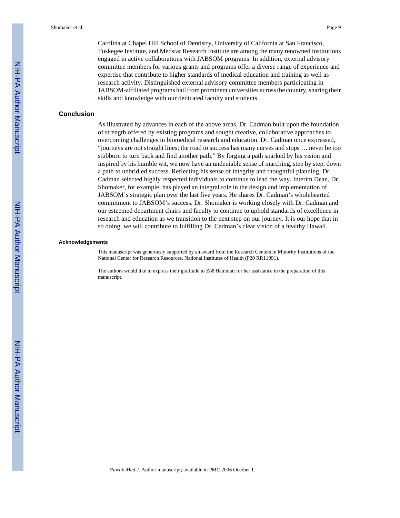Carolina at Chapel Hill School of Dentistry, University of California at San Francisco, Tuskegee Institute, and Medstar Research Institute are among the many renowned institutions engaged in active collaborations with JABSOM programs. In addition, external advisory committee members for various grants and programs offer a diverse range of experience and expertise that contribute to higher standards of medical education and training as well as research activity. Distinguished external advisory committee members participating in JABSOM-affiliated programs hail from prominent universities across the country, sharing their skills and knowledge with our dedicated faculty and students.

#### **Conclusion**

As illustrated by advances in each of the above areas, Dr. Cadman built upon the foundation of strength offered by existing programs and sought creative, collaborative approaches to overcoming challenges in biomedical research and education. Dr. Cadman once expressed, "journeys are not straight lines; the road to success has many curves and stops … never be too stubborn to turn back and find another path." By forging a path sparked by his vision and inspired by his humble wit, we now have an undeniable sense of marching, step by step, down a path to unbridled success. Reflecting his sense of integrity and thoughtful planning, Dr. Cadman selected highly respected individuals to continue to lead the way. Interim Dean, Dr. Shomaker, for example, has played an integral role in the design and implementation of JABSOM's strategic plan over the last five years. He shares Dr. Cadman's wholehearted commitment to JABSOM's success. Dr. Shomaker is working closely with Dr. Cadman and our esteemed department chairs and faculty to continue to uphold standards of excellence in research and education as we transition to the next step on our journey. It is our hope that in so doing, we will contribute to fulfilling Dr. Cadman's clear vision of a healthy Hawaii.

#### **Acknowledgements**

This manuscript was generously supported by an award from the Research Centers in Minority Institutions of the National Center for Research Resources, National Institutes of Health (P20 RR11091).

The authors would like to express their gratitude to Zoë Hammatt for her assistance in the preparation of this manuscript.

NIH-PA Author Manuscript

NIH-PA Actrosconscript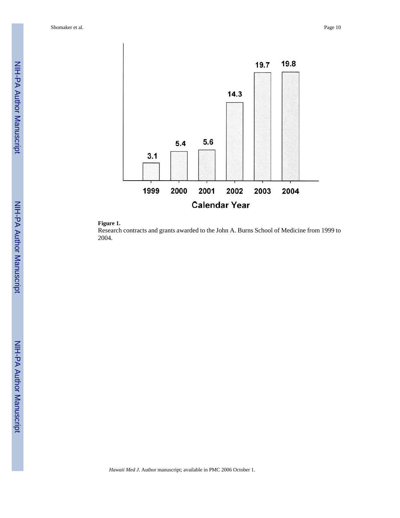Shomaker et al. Page 10





Research contracts and grants awarded to the John A. Burns School of Medicine from 1999 to 2004.